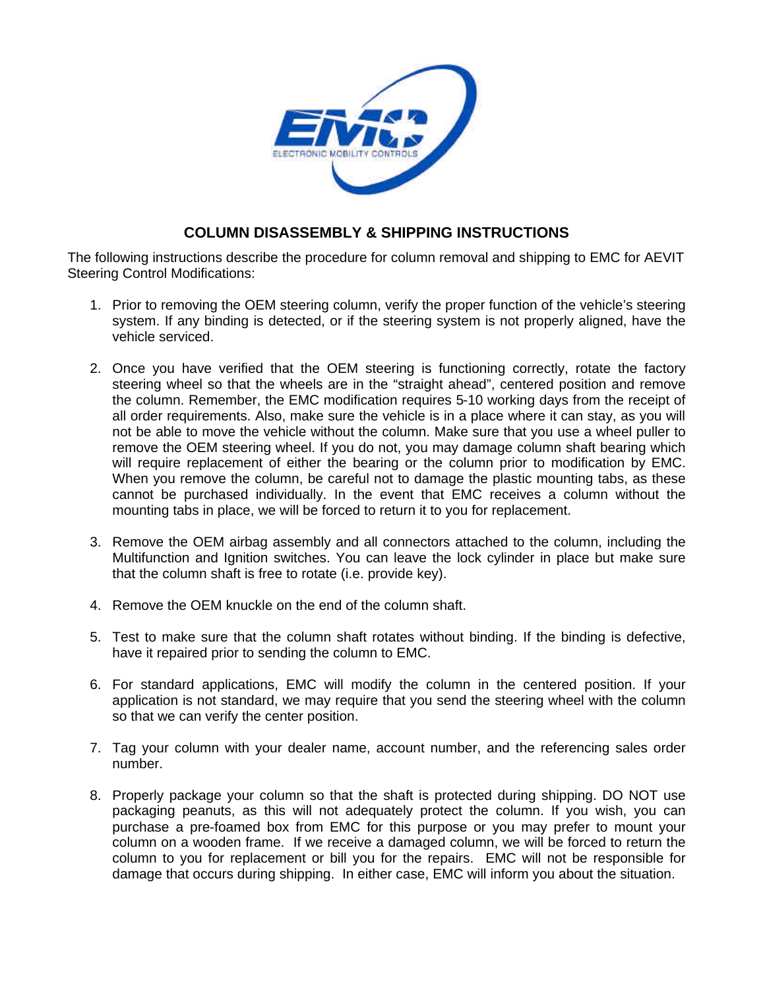

## **COLUMN DISASSEMBLY & SHIPPING INSTRUCTIONS**

The following instructions describe the procedure for column removal and shipping to EMC for AEVIT Steering Control Modifications:

- 1. Prior to removing the OEM steering column, verify the proper function of the vehicle's steering system. If any binding is detected, or if the steering system is not properly aligned, have the vehicle serviced.
- 2. Once you have verified that the OEM steering is functioning correctly, rotate the factory steering wheel so that the wheels are in the "straight ahead", centered position and remove the column. Remember, the EMC modification requires 5-10 working days from the receipt of all order requirements. Also, make sure the vehicle is in a place where it can stay, as you will not be able to move the vehicle without the column. Make sure that you use a wheel puller to remove the OEM steering wheel. If you do not, you may damage column shaft bearing which will require replacement of either the bearing or the column prior to modification by EMC. When you remove the column, be careful not to damage the plastic mounting tabs, as these cannot be purchased individually. In the event that EMC receives a column without the mounting tabs in place, we will be forced to return it to you for replacement.
- 3. Remove the OEM airbag assembly and all connectors attached to the column, including the Multifunction and Ignition switches. You can leave the lock cylinder in place but make sure that the column shaft is free to rotate (i.e. provide key).
- 4. Remove the OEM knuckle on the end of the column shaft.
- 5. Test to make sure that the column shaft rotates without binding. If the binding is defective, have it repaired prior to sending the column to EMC.
- 6. For standard applications, EMC will modify the column in the centered position. If your application is not standard, we may require that you send the steering wheel with the column so that we can verify the center position.
- 7. Tag your column with your dealer name, account number, and the referencing sales order number.
- 8. Properly package your column so that the shaft is protected during shipping. DO NOT use packaging peanuts, as this will not adequately protect the column. If you wish, you can purchase a pre-foamed box from EMC for this purpose or you may prefer to mount your column on a wooden frame. If we receive a damaged column, we will be forced to return the column to you for replacement or bill you for the repairs. EMC will not be responsible for damage that occurs during shipping. In either case, EMC will inform you about the situation.